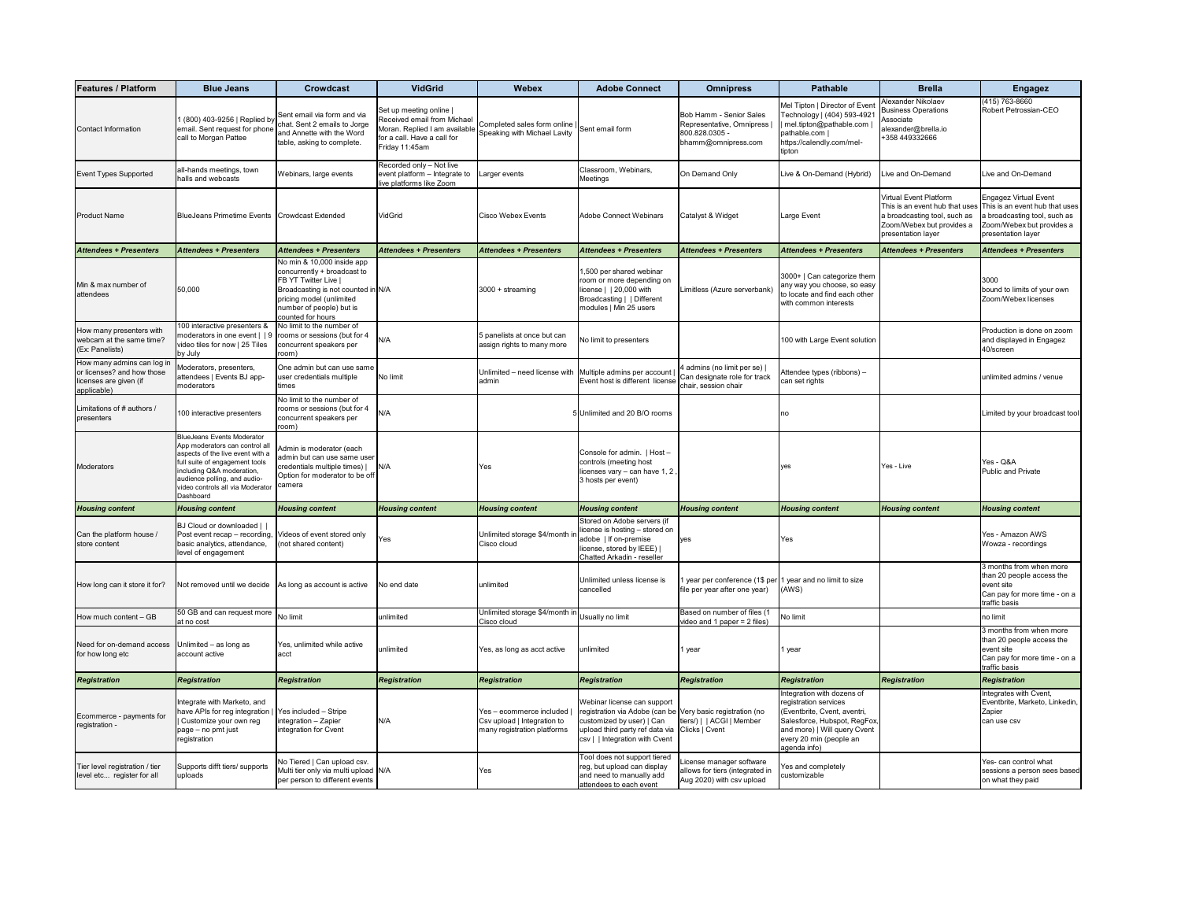| <b>Features / Platform</b>                                                                        | <b>Blue Jeans</b>                                                                                                                                                                                                                                              | <b>Crowdcast</b>                                                                                                                                                                                            | <b>VidGrid</b>                                                                                                                           | <b>Webex</b>                                                                           | <b>Adobe Connect</b>                                                                                                                                                                                       | <b>Omnipress</b>                                                                              | <b>Pathable</b>                                                                                                                                                                                | <b>Brella</b>                                                                                                                                      | <b>Engagez</b>                                                                                                                                    |
|---------------------------------------------------------------------------------------------------|----------------------------------------------------------------------------------------------------------------------------------------------------------------------------------------------------------------------------------------------------------------|-------------------------------------------------------------------------------------------------------------------------------------------------------------------------------------------------------------|------------------------------------------------------------------------------------------------------------------------------------------|----------------------------------------------------------------------------------------|------------------------------------------------------------------------------------------------------------------------------------------------------------------------------------------------------------|-----------------------------------------------------------------------------------------------|------------------------------------------------------------------------------------------------------------------------------------------------------------------------------------------------|----------------------------------------------------------------------------------------------------------------------------------------------------|---------------------------------------------------------------------------------------------------------------------------------------------------|
| <b>Contact Information</b>                                                                        | 1 (800) 403-9256   Replied by<br>email. Sent request for phone<br>call to Morgan Pattee                                                                                                                                                                        | Sent email via form and via<br>chat. Sent 2 emails to Jorge<br>and Annette with the Word<br>table, asking to complete.                                                                                      | Set up meeting online  <br>Received email from Michael<br>Moran. Replied I am available<br>for a call. Have a call for<br>Friday 11:45am | Completed sales form online<br>Speaking with Michael Lavity                            | Sent email form                                                                                                                                                                                            | Bob Hamm - Senior Sales<br>Representative, Omnipress<br>800.828.0305 -<br>bhamm@omnipress.com | Mel Tipton   Director of Even<br>Technology   (404) 593-4921<br>mel.tipton@pathable.com<br>pathable.com  <br>https://calendly.com/mel-<br>tipton                                               | Alexander Nikolaev<br><b>Business Operations</b><br>Associate<br>alexander@brella.io<br>+358 449332666                                             | (415) 763-8660<br>Robert Petrossian-CEO                                                                                                           |
| <b>Event Types Supported</b>                                                                      | all-hands meetings, town<br>halls and webcasts                                                                                                                                                                                                                 | Webinars, large events                                                                                                                                                                                      | Recorded only - Not live<br>event platform - Integrate to<br>live platforms like Zoom                                                    | Larger events                                                                          | Classroom, Webinars,<br>Meetings                                                                                                                                                                           | On Demand Only                                                                                | Live & On-Demand (Hybrid)                                                                                                                                                                      | Live and On-Demand                                                                                                                                 | Live and On-Demand                                                                                                                                |
| <b>Product Name</b>                                                                               | BlueJeans Primetime Events Crowdcast Extended                                                                                                                                                                                                                  |                                                                                                                                                                                                             | <b>VidGrid</b>                                                                                                                           | <b>Cisco Webex Events</b>                                                              | Adobe Connect Webinars                                                                                                                                                                                     | Catalyst & Widget                                                                             | Large Event                                                                                                                                                                                    | <b>Virtual Event Platform</b><br>This is an event hub that uses<br>a broadcasting tool, such as<br>Zoom/Webex but provides a<br>presentation layer | <b>Engagez Virtual Event</b><br>This is an event hub that uses<br>a broadcasting tool, such as<br>Zoom/Webex but provides a<br>presentation layer |
| <b>Attendees + Presenters</b>                                                                     | <b>Attendees + Presenters</b>                                                                                                                                                                                                                                  | <b>Attendees + Presenters</b>                                                                                                                                                                               | <b>Attendees + Presenters</b>                                                                                                            | <b>Attendees + Presenters</b>                                                          | <b>Attendees + Presenters</b>                                                                                                                                                                              | <b>Attendees + Presenters</b>                                                                 | <b>Attendees + Presenters</b>                                                                                                                                                                  | <b>Attendees + Presenters</b>                                                                                                                      | <b>Attendees + Presenters</b>                                                                                                                     |
| Min & max number of<br>attendees                                                                  | 50,000                                                                                                                                                                                                                                                         | No min & 10,000 inside app<br>concurrently + broadcast to<br><b>FB YT Twitter Live  </b><br>Broadcasting is not counted in N/A<br>pricing model (unlimited<br>number of people) but is<br>counted for hours |                                                                                                                                          | 3000 + streaming                                                                       | 1,500 per shared webinar<br>room or more depending on<br>$ $ license $ $   20,000 with<br>Broadcasting     Different<br>modules   Min 25 users                                                             | Limitless (Azure serverbank)                                                                  | 3000+   Can categorize them<br>any way you choose, so easy<br>to locate and find each other<br>with common interests                                                                           |                                                                                                                                                    | 3000<br>bound to limits of your own<br>Zoom/Webex licenses                                                                                        |
| How many presenters with<br>webcam at the same time?<br>(Ex: Panelists)                           | 100 interactive presenters &<br>moderators in one event $ $   9<br>video tiles for now   25 Tiles<br>by July                                                                                                                                                   | No limit to the number of<br>rooms or sessions (but for 4<br>concurrent speakers per<br>room)                                                                                                               | N/A                                                                                                                                      | 5 panelists at once but can<br>assign rights to many more                              | No limit to presenters                                                                                                                                                                                     |                                                                                               | 100 with Large Event solution                                                                                                                                                                  |                                                                                                                                                    | Production is done on zoom<br>and displayed in Engagez<br>40/screen                                                                               |
| How many admins can log in<br>or licenses? and how those<br>licenses are given (if<br>applicable) | Moderators, presenters,<br>attendees   Events BJ app-<br>moderators                                                                                                                                                                                            | One admin but can use same<br>user credentials multiple<br>times                                                                                                                                            | No limit                                                                                                                                 | Unlimited - need license with Multiple admins per account<br>admin                     | Event host is different license chair, session chair                                                                                                                                                       | 4 admins (no limit per se)  <br>Can designate role for track                                  | Attendee types (ribbons) –<br>can set rights                                                                                                                                                   |                                                                                                                                                    | unlimited admins / venue                                                                                                                          |
| Limitations of # authors /<br>presenters                                                          | 100 interactive presenters                                                                                                                                                                                                                                     | No limit to the number of<br>rooms or sessions (but for 4<br>concurrent speakers per<br>room)                                                                                                               | N/A                                                                                                                                      |                                                                                        | 5 Unlimited and 20 B/O rooms                                                                                                                                                                               |                                                                                               | no                                                                                                                                                                                             |                                                                                                                                                    | Limited by your broadcast tool                                                                                                                    |
| <b>Moderators</b>                                                                                 | <b>BlueJeans Events Moderator</b><br>App moderators can control all<br>aspects of the live event with a<br>full suite of engagement tools<br>including Q&A moderation,<br>audience polling, and audio-<br>video controls all via Moderator Camera<br>Dashboard | Admin is moderator (each<br>admin but can use same user<br>credentials multiple times)  <br>Option for moderator to be off                                                                                  | N/A                                                                                                                                      | Yes                                                                                    | Console for admin.   Host -<br>controls (meeting host<br>licenses vary $-$ can have 1, 2,<br>3 hosts per event)                                                                                            |                                                                                               | /es                                                                                                                                                                                            | Yes - Live                                                                                                                                         | Yes - Q&A<br><b>Public and Private</b>                                                                                                            |
| <b>Housing content</b>                                                                            | <b>Housing content</b>                                                                                                                                                                                                                                         | <b>Housing content</b>                                                                                                                                                                                      | <b>Housing content</b>                                                                                                                   | <b>Housing content</b>                                                                 | <b>Housing content</b>                                                                                                                                                                                     | <b>Housing content</b>                                                                        | <b>Housing content</b>                                                                                                                                                                         | <b>Housing content</b>                                                                                                                             | <b>Housing content</b>                                                                                                                            |
| Can the platform house<br>store content                                                           | BJ Cloud or downloaded  <br>Post event recap – recording, Videos of event stored only<br>basic analytics, attendance,<br>level of engagement                                                                                                                   | (not shared content)                                                                                                                                                                                        | Yes                                                                                                                                      | Unlimited storage \$4/month ir<br>Cisco cloud                                          | Stored on Adobe servers (if<br>license is hosting – stored on<br>adobe   If on-premise<br>license, stored by IEEE)  <br>Chatted Arkadin - reseller                                                         | yes                                                                                           | Yes                                                                                                                                                                                            |                                                                                                                                                    | Yes - Amazon AWS<br>Wowza - recordings                                                                                                            |
| How long can it store it for?                                                                     | Not removed until we decide                                                                                                                                                                                                                                    | As long as account is active                                                                                                                                                                                | No end date                                                                                                                              | unlimited                                                                              | Unlimited unless license is<br>cancelled                                                                                                                                                                   | 1 year per conference (1\$ per 1 year and no limit to size<br>file per year after one year)   | (AWS)                                                                                                                                                                                          |                                                                                                                                                    | 3 months from when more<br>than 20 people access the<br>event site<br>Can pay for more time - on a<br>traffic basis                               |
| How much content - GB                                                                             | 50 GB and can request more<br>at no cost                                                                                                                                                                                                                       | No limit                                                                                                                                                                                                    | unlimited                                                                                                                                | Unlimited storage \$4/month in<br>Cisco cloud                                          | Usually no limit                                                                                                                                                                                           | Based on number of files (1<br>video and 1 paper = 2 files)                                   | No limit                                                                                                                                                                                       |                                                                                                                                                    | no limit                                                                                                                                          |
| Need for on-demand access<br>for how long etc                                                     | Unlimited - as long as<br>account active                                                                                                                                                                                                                       | Yes, unlimited while active<br>acct                                                                                                                                                                         | unlimited                                                                                                                                | Yes, as long as acct active                                                            | unlimited                                                                                                                                                                                                  | 1 year                                                                                        | 1 year                                                                                                                                                                                         |                                                                                                                                                    | 3 months from when more<br>than 20 people access the<br>event site<br>Can pay for more time - on a<br>traffic basis                               |
| <b>Registration</b>                                                                               | Registration                                                                                                                                                                                                                                                   | Registration                                                                                                                                                                                                | Registration                                                                                                                             | <b>Registration</b>                                                                    | Registration                                                                                                                                                                                               | Registration                                                                                  | <b>Registration</b>                                                                                                                                                                            | Registration                                                                                                                                       | Registration                                                                                                                                      |
| Ecommerce - payments for<br>registration -                                                        | Integrate with Marketo, and<br>have APIs for reg integration   Yes included - Stripe<br>Customize your own reg<br>page – no pmt just<br>registration                                                                                                           | $interrelation - Zapier$<br>integration for Cvent                                                                                                                                                           | N/A                                                                                                                                      | Yes - ecommerce included<br>Csv upload   Integration to<br>many registration platforms | Webinar license can support<br>registration via Adobe (can be Very basic registration (no<br>customized by user)   Can<br>upload third party ref data via Clicks   Cvent<br>csv     Integration with Cvent | tiers/)     ACGI   Member                                                                     | Integration with dozens of<br>registration services<br>(Eventbrite, Cvent, aventri,<br>Salesforce, Hubspot, RegFox,<br>and more)   Will query Cvent<br>every 20 min (people an<br>agenda info) |                                                                                                                                                    | Integrates with Cvent,<br>Eventbrite, Marketo, Linkedin,<br>Zapier<br>can use csv                                                                 |
| Tier level registration / tier<br>level etc register for all                                      | Supports difft tiers/ supports<br>uploads                                                                                                                                                                                                                      | No Tiered   Can upload csv.<br>Multi tier only via multi upload N/A<br>per person to different events                                                                                                       |                                                                                                                                          | Yes                                                                                    | Tool does not support tiered<br>reg, but upload can display<br>and need to manually add<br>attendees to each event                                                                                         | License manager software<br>allows for tiers (integrated in<br>Aug 2020) with csv upload      | Yes and completely<br>customizable                                                                                                                                                             |                                                                                                                                                    | Yes- can control what<br>sessions a person sees based<br>on what they paid                                                                        |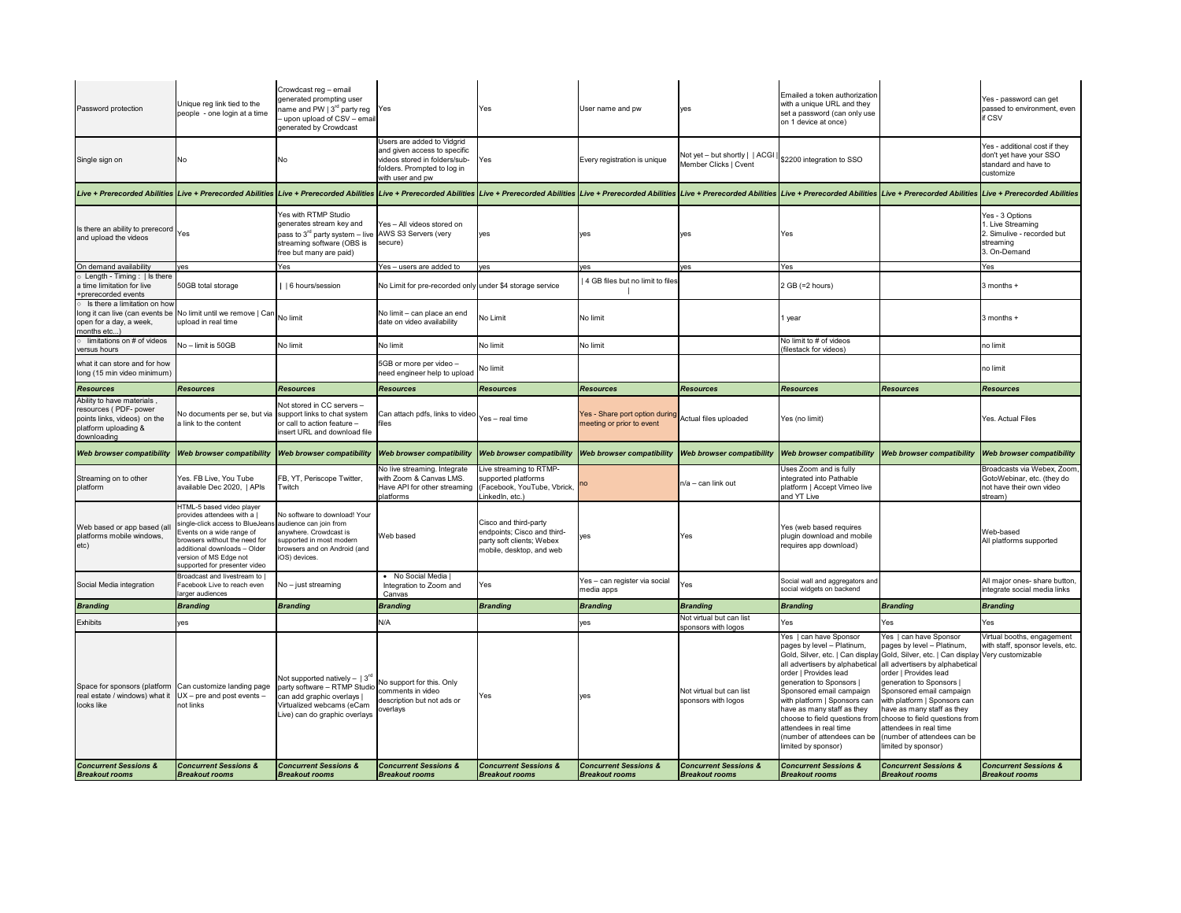| <b>Concurrent Sessions &amp;</b><br><b>Breakout rooms</b>                                                                                                       | <b>Concurrent Sessions &amp;</b><br><b>Breakout rooms</b>                                                                                                                                                                                                                    | <b>Concurrent Sessions &amp;</b><br><b>Breakout rooms</b>                                                                                                                                          | <b>Concurrent Sessions &amp;</b><br><b>Breakout rooms</b>                                                                                                                                                                     | <b>Concurrent Sessions &amp;</b><br><b>Breakout rooms</b>                                                     | <b>Concurrent Sessions &amp;</b><br><b>Breakout rooms</b>                         | <b>Concurrent Sessions &amp;</b><br><b>Breakout rooms</b>   | <b>Concurrent Sessions &amp;</b><br><b>Breakout rooms</b>                                                                                                                                                                                                                                                             | <b>Concurrent Sessions &amp;</b><br><b>Breakout rooms</b>                                                                                                                                                                                                                                                                                                                                                                                                    | <b>Concurrent Sessions &amp;</b><br><b>Breakout rooms</b>                                        |
|-----------------------------------------------------------------------------------------------------------------------------------------------------------------|------------------------------------------------------------------------------------------------------------------------------------------------------------------------------------------------------------------------------------------------------------------------------|----------------------------------------------------------------------------------------------------------------------------------------------------------------------------------------------------|-------------------------------------------------------------------------------------------------------------------------------------------------------------------------------------------------------------------------------|---------------------------------------------------------------------------------------------------------------|-----------------------------------------------------------------------------------|-------------------------------------------------------------|-----------------------------------------------------------------------------------------------------------------------------------------------------------------------------------------------------------------------------------------------------------------------------------------------------------------------|--------------------------------------------------------------------------------------------------------------------------------------------------------------------------------------------------------------------------------------------------------------------------------------------------------------------------------------------------------------------------------------------------------------------------------------------------------------|--------------------------------------------------------------------------------------------------|
| Space for sponsors (platform Can customize landing page<br>real estate / windows) what it $UX - pre$ and post events -<br>looks like                            | not links                                                                                                                                                                                                                                                                    | Not supported natively $-$   3 <sup>rd</sup> No support for this. Only<br>party software - RTMP Studio<br>can add graphic overlays  <br>Virtualized webcams (eCam<br>Live) can do graphic overlays | comments in video<br>description but not ads or<br>overlays                                                                                                                                                                   | Yes                                                                                                           | yes                                                                               | Not virtual but can list<br>sponsors with logos             | Yes   can have Sponsor<br>pages by level - Platinum,<br>order   Provides lead<br>generation to Sponsors  <br>Sponsored email campaign<br>with platform   Sponsors can<br>have as many staff as they<br>choose to field questions from<br>attendees in real time<br>(number of attendees can be<br>limited by sponsor) | Yes   can have Sponsor<br>pages by level - Platinum,<br>Gold, Silver, etc.   Can display Gold, Silver, etc.   Can display<br>all advertisers by alphabetical all advertisers by alphabetical<br>order   Provides lead<br>generation to Sponsors  <br>Sponsored email campaign<br>with platform   Sponsors can<br>have as many staff as they<br>choose to field questions from<br>attendees in real time<br>number of attendees can be<br>limited by sponsor) | Virtual booths, engagement<br>with staff, sponsor levels, etc<br>Very customizable               |
| <b>Exhibits</b>                                                                                                                                                 | yes                                                                                                                                                                                                                                                                          |                                                                                                                                                                                                    | N/A                                                                                                                                                                                                                           |                                                                                                               | /es                                                                               | Not virtual but can list<br>sponsors with logos             | Yes                                                                                                                                                                                                                                                                                                                   | Yes                                                                                                                                                                                                                                                                                                                                                                                                                                                          | Yes                                                                                              |
| <b>Branding</b>                                                                                                                                                 | <b>Branding</b>                                                                                                                                                                                                                                                              | <b>Branding</b>                                                                                                                                                                                    | <b>Branding</b>                                                                                                                                                                                                               | <b>Branding</b>                                                                                               | <b>Branding</b>                                                                   | <b>Branding</b>                                             | <b>Branding</b>                                                                                                                                                                                                                                                                                                       | <b>Branding</b>                                                                                                                                                                                                                                                                                                                                                                                                                                              | <b>Branding</b>                                                                                  |
| Social Media integration                                                                                                                                        | Broadcast and livestream to  <br>Facebook Live to reach even<br>larger audiences                                                                                                                                                                                             | $No - just streaming$                                                                                                                                                                              | • No Social Media<br>Integration to Zoom and<br>Canvas                                                                                                                                                                        | Yes                                                                                                           | Yes - can register via social<br>media apps                                       | <b>Yes</b>                                                  | Social wall and aggregators and<br>social widgets on backend                                                                                                                                                                                                                                                          |                                                                                                                                                                                                                                                                                                                                                                                                                                                              | All major ones- share button.<br>integrate social media links                                    |
| Web based or app based (all<br>platforms mobile windows,<br>etc)                                                                                                | HTML-5 based video player<br>provides attendees with a  <br>single-click access to BlueJeans audience can join from<br>Events on a wide range of<br>browsers without the need for<br>additional downloads - Older<br>version of MS Edge not<br>supported for presenter video | No software to download! Your<br>anywhere. Crowdcast is<br>supported in most modern<br>browsers and on Android (and<br>iOS) devices.                                                               | Web based                                                                                                                                                                                                                     | Cisco and third-party<br>endpoints; Cisco and third-<br>party soft clients; Webex<br>mobile, desktop, and web | <b>Ves</b>                                                                        | <b>Yes</b>                                                  | Yes (web based requires<br>plugin download and mobile<br>requires app download)                                                                                                                                                                                                                                       |                                                                                                                                                                                                                                                                                                                                                                                                                                                              | Web-based<br>All platforms supported                                                             |
| Streaming on to other<br>platform                                                                                                                               | Yes. FB Live, You Tube<br>available Dec 2020,   APIs                                                                                                                                                                                                                         | FB, YT, Periscope Twitter,<br>Twitch                                                                                                                                                               | No live streaming. Integrate<br>with Zoom & Canvas LMS.<br>Have API for other streaming<br>platforms                                                                                                                          | Live streaming to RTMP-<br>supported platforms<br>Facebook, YouTube, Vbrick,<br>LinkedIn, etc.)               | <b>no</b>                                                                         | $\ln/a$ – can link out                                      | Uses Zoom and is fully<br>integrated into Pathable<br>platform   Accept Vimeo live<br>and YT Live                                                                                                                                                                                                                     |                                                                                                                                                                                                                                                                                                                                                                                                                                                              | Broadcasts via Webex, Zoom,<br>GotoWebinar, etc. (they do<br>not have their own video<br>stream) |
| <b>Web browser compatibility</b>                                                                                                                                | Web browser compatibility Web browser compatibility Web browser compatibility                                                                                                                                                                                                |                                                                                                                                                                                                    |                                                                                                                                                                                                                               | <b>Web browser compatibility</b>                                                                              | <b>Web browser compatibility</b>                                                  | <b>Web browser compatibility</b>                            | <b>Web browser compatibility</b>                                                                                                                                                                                                                                                                                      | Web browser compatibility                                                                                                                                                                                                                                                                                                                                                                                                                                    | <b>Web browser compatibility</b>                                                                 |
| Ability to have materials,<br>resources (PDF- power<br>points links, videos) on the<br>platform uploading &<br>downloading                                      | No documents per se, but via support links to chat system<br>a link to the content                                                                                                                                                                                           | Not stored in CC servers -<br>or call to action feature -<br>insert URL and download file                                                                                                          | Can attach pdfs, links to video $\bigg  \gamma_{\rm e s-}$ real time<br>files                                                                                                                                                 |                                                                                                               | Yes - Share port option during Actual files uploaded<br>meeting or prior to event |                                                             | Yes (no limit)                                                                                                                                                                                                                                                                                                        |                                                                                                                                                                                                                                                                                                                                                                                                                                                              | <b>Yes. Actual Files</b>                                                                         |
| <b>Resources</b>                                                                                                                                                | <b>Resources</b>                                                                                                                                                                                                                                                             | <b>Resources</b>                                                                                                                                                                                   | <b>Resources</b>                                                                                                                                                                                                              | <b>Resources</b>                                                                                              | <b>Resources</b>                                                                  | <b>Resources</b>                                            | <b>Resources</b>                                                                                                                                                                                                                                                                                                      | <b>Resources</b>                                                                                                                                                                                                                                                                                                                                                                                                                                             | <b>Resources</b>                                                                                 |
| what it can store and for how<br>long (15 min video minimum)                                                                                                    |                                                                                                                                                                                                                                                                              |                                                                                                                                                                                                    | 5GB or more per video -<br>need engineer help to upload                                                                                                                                                                       | No limit                                                                                                      |                                                                                   |                                                             |                                                                                                                                                                                                                                                                                                                       |                                                                                                                                                                                                                                                                                                                                                                                                                                                              | no limit                                                                                         |
| $\circ$ limitations on # of videos<br>versus hours                                                                                                              | No - limit is 50GB                                                                                                                                                                                                                                                           | No limit                                                                                                                                                                                           | No limit                                                                                                                                                                                                                      | No limit                                                                                                      | No limit                                                                          |                                                             | No limit to # of videos<br>(filestack for videos)                                                                                                                                                                                                                                                                     |                                                                                                                                                                                                                                                                                                                                                                                                                                                              | no limit                                                                                         |
| Is there a limitation on how<br>$\frac{1}{2}$ long it can live (can events be No limit until we remove   Can No limit<br>open for a day, a week,<br>months etc) | upload in real time                                                                                                                                                                                                                                                          |                                                                                                                                                                                                    | No limit - can place an end<br>date on video availability                                                                                                                                                                     | No Limit                                                                                                      | No limit                                                                          |                                                             | 1 year                                                                                                                                                                                                                                                                                                                |                                                                                                                                                                                                                                                                                                                                                                                                                                                              | 3 months +                                                                                       |
| $\circ$ Length - Timing :   Is there<br>a time limitation for live<br>+prerecorded events                                                                       | 50GB total storage                                                                                                                                                                                                                                                           | 6 hours/session                                                                                                                                                                                    | No Limit for pre-recorded only under \$4 storage service                                                                                                                                                                      |                                                                                                               | 4 GB files but no limit to files                                                  |                                                             | $2 GB (=2 hours)$                                                                                                                                                                                                                                                                                                     |                                                                                                                                                                                                                                                                                                                                                                                                                                                              | 3 months +                                                                                       |
| On demand availability                                                                                                                                          | ves                                                                                                                                                                                                                                                                          | free but many are paid)<br>Yes                                                                                                                                                                     | Yes - users are added to                                                                                                                                                                                                      | yes                                                                                                           | es                                                                                | yes                                                         | Yes                                                                                                                                                                                                                                                                                                                   |                                                                                                                                                                                                                                                                                                                                                                                                                                                              | 3. On-Demand<br>Yes                                                                              |
| Is there an ability to prerecord Yes<br>and upload the videos                                                                                                   |                                                                                                                                                                                                                                                                              | Yes with RTMP Studio<br>generates stream key and<br>pass to $3^{rd}$ party system $-$ live AWS S3 Servers (very<br>streaming software (OBS is                                                      | Yes - All videos stored on<br>secure)                                                                                                                                                                                         | yes                                                                                                           | yes                                                                               | yes                                                         | Yes                                                                                                                                                                                                                                                                                                                   |                                                                                                                                                                                                                                                                                                                                                                                                                                                              | Yes - 3 Options<br>1. Live Streaming<br>2. Simulive - recorded but<br>streaming                  |
|                                                                                                                                                                 |                                                                                                                                                                                                                                                                              |                                                                                                                                                                                                    | Live + Prerecorded Abilities Live + Prerecorded Abilities Live + Prerecorded Abilities Live + Prerecorded Abilities Live + Prerecorded Abilities Live + Prerecorded Abilities Live + Prerecorded Abilities Live + Prerecorded |                                                                                                               |                                                                                   |                                                             |                                                                                                                                                                                                                                                                                                                       |                                                                                                                                                                                                                                                                                                                                                                                                                                                              |                                                                                                  |
| Single sign on                                                                                                                                                  | No.                                                                                                                                                                                                                                                                          | No.                                                                                                                                                                                                | Users are added to Vidgrid<br>and given access to specific<br>videos stored in folders/sub-<br>folders. Prompted to log in<br>with user and pw                                                                                | Yes                                                                                                           | Every registration is unique                                                      | Not yet $-$ but shortly $ $   ACGI<br>Member Clicks   Cvent | \$2200 integration to SSO                                                                                                                                                                                                                                                                                             |                                                                                                                                                                                                                                                                                                                                                                                                                                                              | Yes - additional cost if they<br>don't yet have your SSO<br>standard and have to<br>customize    |
| Password protection                                                                                                                                             | Unique reg link tied to the<br>people - one login at a time                                                                                                                                                                                                                  | Crowdcast reg - email<br>generated prompting user<br>name and PW $\mid$ 3 <sup>rd</sup> party reg<br>- upon upload of CSV - email<br>generated by Crowdcast                                        | Yes                                                                                                                                                                                                                           | <b>Yes</b>                                                                                                    | User name and pw                                                                  | yes                                                         | Emailed a token authorization<br>with a unique URL and they<br>set a password (can only use<br>on 1 device at once)                                                                                                                                                                                                   |                                                                                                                                                                                                                                                                                                                                                                                                                                                              | Yes - password can get<br>passed to environment, even<br>if CSV                                  |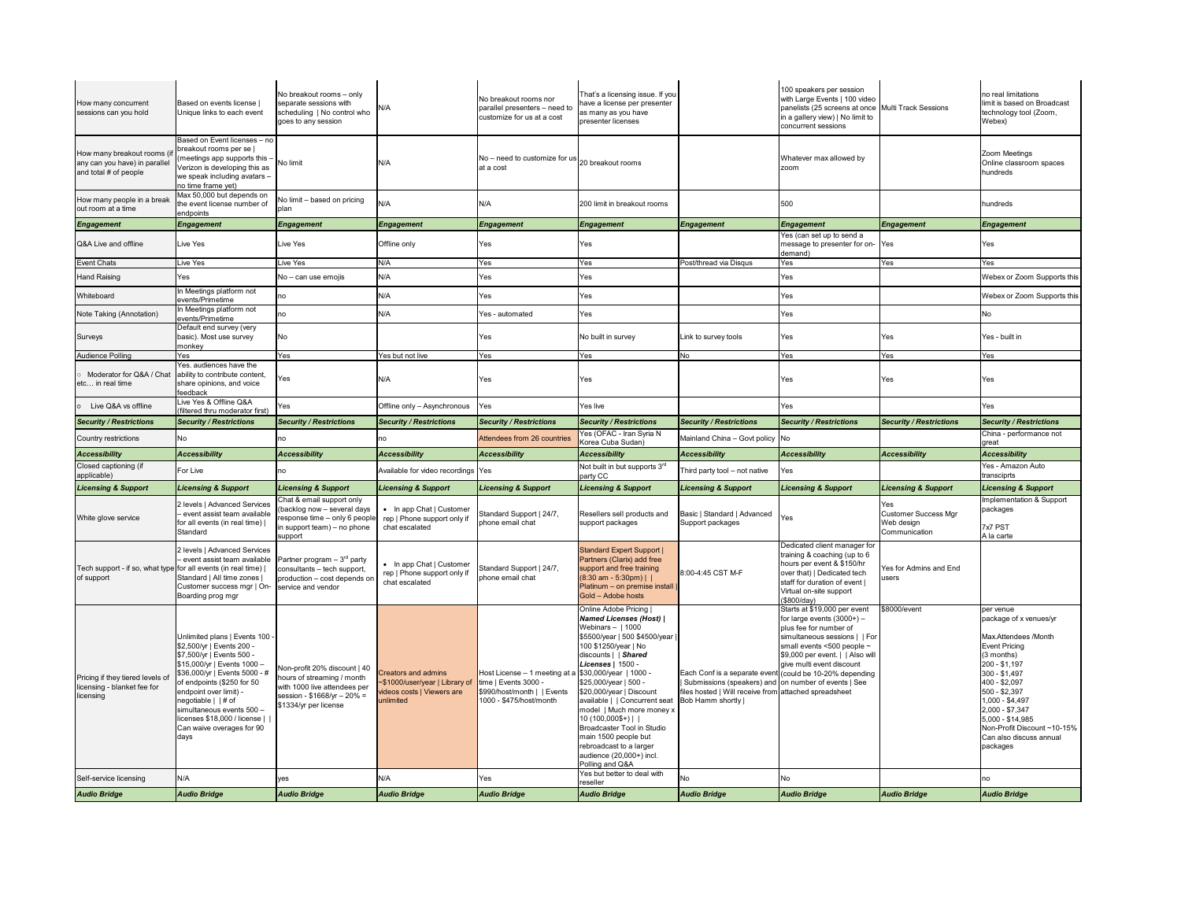| How many concurrent<br>sessions can you hold                                          | Based on events license<br>Unique links to each event                                                                                                                                                                                                                                                                                            | No breakout rooms - only<br>separate sessions with<br>scheduling   No control who<br>goes to any session                                            | N/A                                                                                                                            | No breakout rooms nor<br>parallel presenters - need to<br>customize for us at a cost                                     | That's a licensing issue. If you<br>have a license per presenter<br>as many as you have<br>presenter licenses                                                                                                                                                                                                                                                                                                                                                                                                       |                                                                                                                                                                              | 100 speakers per session<br>with Large Events   100 video<br>panelists (25 screens at once Multi Track Sessions<br>in a gallery view)   No limit to<br>concurrent sessions                                                    |                                                                   | no real limitations<br>limit is based on Broadcast<br>technology tool (Zoom,<br>Webex)                                                                                                                                                                                                                  |
|---------------------------------------------------------------------------------------|--------------------------------------------------------------------------------------------------------------------------------------------------------------------------------------------------------------------------------------------------------------------------------------------------------------------------------------------------|-----------------------------------------------------------------------------------------------------------------------------------------------------|--------------------------------------------------------------------------------------------------------------------------------|--------------------------------------------------------------------------------------------------------------------------|---------------------------------------------------------------------------------------------------------------------------------------------------------------------------------------------------------------------------------------------------------------------------------------------------------------------------------------------------------------------------------------------------------------------------------------------------------------------------------------------------------------------|------------------------------------------------------------------------------------------------------------------------------------------------------------------------------|-------------------------------------------------------------------------------------------------------------------------------------------------------------------------------------------------------------------------------|-------------------------------------------------------------------|---------------------------------------------------------------------------------------------------------------------------------------------------------------------------------------------------------------------------------------------------------------------------------------------------------|
| How many breakout rooms (if<br>any can you have) in parallel<br>and total # of people | Based on Event licenses - no<br>breakout rooms per se  <br>(meetings app supports this -<br>Verizon is developing this as<br>we speak including avatars -<br>no time frame yet)                                                                                                                                                                  | No limit                                                                                                                                            | N/A                                                                                                                            | $\left  \text{No} - \text{need} \right $ to customize for us $\left  \text{20} \right $ breakout rooms<br>at a cost      |                                                                                                                                                                                                                                                                                                                                                                                                                                                                                                                     |                                                                                                                                                                              | Whatever max allowed by<br>zoom                                                                                                                                                                                               |                                                                   | Zoom Meetings<br>Online classroom spaces<br>hundreds                                                                                                                                                                                                                                                    |
| How many people in a break<br>out room at a time                                      | Max 50,000 but depends on<br>the event license number of<br>endpoints                                                                                                                                                                                                                                                                            | No limit – based on pricing<br>plan                                                                                                                 | N/A                                                                                                                            | N/A                                                                                                                      | 200 limit in breakout rooms                                                                                                                                                                                                                                                                                                                                                                                                                                                                                         |                                                                                                                                                                              | 500                                                                                                                                                                                                                           |                                                                   | hundreds                                                                                                                                                                                                                                                                                                |
| <b>Engagement</b>                                                                     | Engagement                                                                                                                                                                                                                                                                                                                                       | <b>Engagement</b>                                                                                                                                   | <b>Engagement</b>                                                                                                              | <b>Engagement</b>                                                                                                        | <b>Engagement</b>                                                                                                                                                                                                                                                                                                                                                                                                                                                                                                   | Engagement                                                                                                                                                                   | Engagement                                                                                                                                                                                                                    | Engagement                                                        | <b>Engagement</b>                                                                                                                                                                                                                                                                                       |
| Q&A Live and offline                                                                  | Live Yes                                                                                                                                                                                                                                                                                                                                         | Live Yes                                                                                                                                            | <b>Offline only</b>                                                                                                            | Yes                                                                                                                      | Yes                                                                                                                                                                                                                                                                                                                                                                                                                                                                                                                 |                                                                                                                                                                              | Yes (can set up to send a<br>message to presenter for on- Yes<br>demand)                                                                                                                                                      |                                                                   | Yes                                                                                                                                                                                                                                                                                                     |
| <b>Event Chats</b>                                                                    | Live Yes                                                                                                                                                                                                                                                                                                                                         | Live Yes                                                                                                                                            | N/A                                                                                                                            | Yes                                                                                                                      | Yes                                                                                                                                                                                                                                                                                                                                                                                                                                                                                                                 | Post/thread via Disqus                                                                                                                                                       | Yes                                                                                                                                                                                                                           | Yes                                                               | Yes                                                                                                                                                                                                                                                                                                     |
| <b>Hand Raising</b>                                                                   | Yes                                                                                                                                                                                                                                                                                                                                              | No - can use emojis                                                                                                                                 | N/A                                                                                                                            | Yes                                                                                                                      | Yes                                                                                                                                                                                                                                                                                                                                                                                                                                                                                                                 |                                                                                                                                                                              | Yes                                                                                                                                                                                                                           |                                                                   | Webex or Zoom Supports this                                                                                                                                                                                                                                                                             |
| Whiteboard                                                                            | In Meetings platform not<br>events/Primetime                                                                                                                                                                                                                                                                                                     | no                                                                                                                                                  | N/A                                                                                                                            | Yes                                                                                                                      | Yes                                                                                                                                                                                                                                                                                                                                                                                                                                                                                                                 |                                                                                                                                                                              | <b>Yes</b>                                                                                                                                                                                                                    |                                                                   | Webex or Zoom Supports this                                                                                                                                                                                                                                                                             |
| Note Taking (Annotation)                                                              | In Meetings platform not<br>events/Primetime                                                                                                                                                                                                                                                                                                     | no                                                                                                                                                  | N/A.                                                                                                                           | Yes - automated                                                                                                          | Yes                                                                                                                                                                                                                                                                                                                                                                                                                                                                                                                 |                                                                                                                                                                              | <b>Yes</b>                                                                                                                                                                                                                    |                                                                   | No                                                                                                                                                                                                                                                                                                      |
| <b>Surveys</b>                                                                        | Default end survey (very<br>basic). Most use survey<br>monkey                                                                                                                                                                                                                                                                                    | No                                                                                                                                                  |                                                                                                                                | Yes                                                                                                                      | No built in survey                                                                                                                                                                                                                                                                                                                                                                                                                                                                                                  | Link to survey tools                                                                                                                                                         | Yes                                                                                                                                                                                                                           | Yes                                                               | Yes - built in                                                                                                                                                                                                                                                                                          |
| <b>Audience Polling</b>                                                               | Yes                                                                                                                                                                                                                                                                                                                                              | Yes                                                                                                                                                 | Yes but not live                                                                                                               | Yes                                                                                                                      | Yes                                                                                                                                                                                                                                                                                                                                                                                                                                                                                                                 | No                                                                                                                                                                           | Yes                                                                                                                                                                                                                           | Yes                                                               | Yes                                                                                                                                                                                                                                                                                                     |
| $\circ$ Moderator for Q&A / Chat ability to contribute content,<br>etc in real time   | Yes. audiences have the<br>share opinions, and voice<br>feedback                                                                                                                                                                                                                                                                                 | Yes                                                                                                                                                 | N/A                                                                                                                            | Yes                                                                                                                      | Yes                                                                                                                                                                                                                                                                                                                                                                                                                                                                                                                 |                                                                                                                                                                              | Yes                                                                                                                                                                                                                           | Yes                                                               | Yes                                                                                                                                                                                                                                                                                                     |
| Live Q&A vs offline<br>$\circ$                                                        | Live Yes & Offline Q&A<br>(filtered thru moderator first)                                                                                                                                                                                                                                                                                        | Yes                                                                                                                                                 | Offline only - Asynchronous                                                                                                    | Yes                                                                                                                      | Yes live                                                                                                                                                                                                                                                                                                                                                                                                                                                                                                            |                                                                                                                                                                              | Yes                                                                                                                                                                                                                           |                                                                   | Yes                                                                                                                                                                                                                                                                                                     |
| <b>Security / Restrictions</b>                                                        | <b>Security / Restrictions</b>                                                                                                                                                                                                                                                                                                                   | <b>Security / Restrictions</b>                                                                                                                      | <b>Security / Restrictions</b>                                                                                                 | <b>Security / Restrictions</b>                                                                                           | <b>Security / Restrictions</b>                                                                                                                                                                                                                                                                                                                                                                                                                                                                                      | Security / Restrictions                                                                                                                                                      | <b>Security / Restrictions</b>                                                                                                                                                                                                | <b>Security / Restrictions</b>                                    | <b>Security / Restrictions</b>                                                                                                                                                                                                                                                                          |
| <b>Country restrictions</b>                                                           | No.                                                                                                                                                                                                                                                                                                                                              | <b>no</b>                                                                                                                                           | no                                                                                                                             | Attendees from 26 countries                                                                                              | Yes (OFAC - Iran Syria N<br>Korea Cuba Sudan)                                                                                                                                                                                                                                                                                                                                                                                                                                                                       | Mainland China - Govt policy No                                                                                                                                              |                                                                                                                                                                                                                               |                                                                   | China - performance not<br>great                                                                                                                                                                                                                                                                        |
| <b>Accessibility</b>                                                                  | <b>Accessibility</b>                                                                                                                                                                                                                                                                                                                             | <b>Accessibility</b>                                                                                                                                | <b>Accessibility</b>                                                                                                           | <b>Accessibility</b>                                                                                                     | <b>Accessibility</b>                                                                                                                                                                                                                                                                                                                                                                                                                                                                                                | <b>Accessibility</b>                                                                                                                                                         | <b>Accessibility</b>                                                                                                                                                                                                          | <b>Accessibility</b>                                              | <b>Accessibility</b>                                                                                                                                                                                                                                                                                    |
| Closed captioning (if<br>applicable)                                                  | For Live                                                                                                                                                                                                                                                                                                                                         | no                                                                                                                                                  | Available for video recordings Yes                                                                                             |                                                                                                                          | Not built in but supports 3rd<br>party CC                                                                                                                                                                                                                                                                                                                                                                                                                                                                           | Third party tool – not native                                                                                                                                                | Yes                                                                                                                                                                                                                           |                                                                   | Yes - Amazon Auto<br>transciprts                                                                                                                                                                                                                                                                        |
| <b>Licensing &amp; Support</b>                                                        | <b>Licensing &amp; Support</b>                                                                                                                                                                                                                                                                                                                   | <b>Licensing &amp; Support</b>                                                                                                                      | <b>Licensing &amp; Support</b>                                                                                                 | <b>Licensing &amp; Support</b>                                                                                           | <b>Licensing &amp; Support</b>                                                                                                                                                                                                                                                                                                                                                                                                                                                                                      | <b>Licensing &amp; Support</b>                                                                                                                                               | <b>Licensing &amp; Support</b>                                                                                                                                                                                                | <b>Licensing &amp; Support</b>                                    | <b>Licensing &amp; Support</b>                                                                                                                                                                                                                                                                          |
| White glove service                                                                   | 2 levels   Advanced Services<br>- event assist team available<br>for all events (in real time)<br>Standard                                                                                                                                                                                                                                       | Chat & email support only<br>(backlog now - several days<br>response time - only 6 people<br>in support team) $-$ no phone<br>support               | In app Chat   Customer<br>rep   Phone support only if<br>chat escalated                                                        | Standard Support   24/7,<br>phone email chat                                                                             | Resellers sell products and<br>support packages                                                                                                                                                                                                                                                                                                                                                                                                                                                                     | Basic   Standard   Advanced<br>Support packages                                                                                                                              | Yes                                                                                                                                                                                                                           | Yes<br><b>Customer Success Mgr</b><br>Web design<br>Communication | Implementation & Support<br>packages<br>7x7 PST<br>A la carte                                                                                                                                                                                                                                           |
| Tech support - if so, what type for all events (in real time)<br>of support           | 2 levels   Advanced Services<br>- event assist team available<br>Standard   All time zones  <br>Customer success mgr   On-<br>Boarding prog mgr                                                                                                                                                                                                  | Partner program $-3^{rd}$ party<br>consultants - tech support,<br>production - cost depends or<br>service and vendor                                | • In app Chat   Customer<br>rep   Phone support only if<br>chat escalated                                                      | Standard Support   24/7,<br>phone email chat                                                                             | <b>Standard Expert Support  </b><br>Partners (Clarix) add free<br>support and free training<br>$(8:30 \text{ am} - 5:30 \text{pm})$<br>Platinum - on premise install  <br>Gold - Adobe hosts                                                                                                                                                                                                                                                                                                                        | 8:00-4:45 CST M-F                                                                                                                                                            | Dedicated client manager for<br>training & coaching (up to 6<br>hours per event & \$150/hr<br>over that)   Dedicated tech<br>staff for duration of event  <br>Virtual on-site support<br>(\$800/day)                          | <b>Yes for Admins and End</b><br><b>Lusers</b>                    |                                                                                                                                                                                                                                                                                                         |
| Pricing if they tiered levels of<br>licensing - blanket fee for<br>licensing          | Unlimited plans   Events 100 -<br>\$2,500/yr   Events 200 -<br>\$7,500/yr   Events 500 -<br>\$15,000/yr   Events 1000 -<br>\$36,000/yr   Events 5000 - #<br>of endpoints (\$250 for 50<br>endpoint over limit) -<br>negotiable $ $ $ $ # of<br>simultaneous events 500 -<br>licenses \$18,000 / license    <br>Can waive overages for 90<br>days | Non-profit 20% discount   40<br>hours of streaming / month<br>with 1000 live attendees per<br>session - $$1668/yr - 20% =$<br>\$1334/yr per license | <b>Creators and admins</b><br>~\$1000/user/year   Library of   time   Events 3000 -<br>videos costs   Viewers are<br>unlimited | Host License - 1 meeting at a \$30,000/year   1000 -<br>$\sqrt{\$990/host/month \mid Fvents}$<br>1000 - \$475/host/month | Online Adobe Pricing<br><b>Named Licenses (Host)</b>  <br>Webinars $-$   1000<br>\$5500/year   500 \$4500/year<br>100 \$1250/year   No<br>discounts     Shared<br>Licenses   1500 -<br>\$25,000/year   500 -<br>\$20,000/year   Discount<br>available     Concurrent seat   Bob Hamm shortly  <br>model   Much more money x<br>$10(100,000$ \$+)    <br>Broadcaster Tool in Studio<br>main 1500 people but<br>rebroadcast to a larger<br>audience (20,000+) incl.<br>Polling and Q&A<br>Yes but better to deal with | Each Conf is a separate event (could be 10-20% depending<br>   Submissions (speakers) and on number of events   See<br>files hosted   Will receive from attached spreadsheet | Starts at \$19,000 per event<br>for large events $(3000+)$ –<br>plus fee for number of<br>simultaneous sessions     For<br>small events $<500$ people $\sim$<br>\$9,000 per event.     Also will<br>give multi event discount | \$8000/event                                                      | per venue<br>package of x venues/yr<br>Max.Attendees /Month<br><b>Event Pricing</b><br>$(3$ months)<br>200 - \$1,197<br>300 - \$1,497<br>400 - \$2,097<br>500 - \$2,397<br>1,000 - \$4,497<br>2,000 - \$7,347<br>5,000 - \$14,985<br>Non-Profit Discount ~10-15%<br>Can also discuss annual<br>packages |
| Self-service licensing                                                                | N/A                                                                                                                                                                                                                                                                                                                                              | yes                                                                                                                                                 | N/A                                                                                                                            | Yes                                                                                                                      | reseller                                                                                                                                                                                                                                                                                                                                                                                                                                                                                                            | <b>No</b>                                                                                                                                                                    | No                                                                                                                                                                                                                            |                                                                   | no                                                                                                                                                                                                                                                                                                      |
| <b>Audio Bridge</b>                                                                   | <b>Audio Bridge</b>                                                                                                                                                                                                                                                                                                                              | <b>Audio Bridge</b>                                                                                                                                 | <b>Audio Bridge</b>                                                                                                            | <b>Audio Bridge</b>                                                                                                      | <b>Audio Bridge</b>                                                                                                                                                                                                                                                                                                                                                                                                                                                                                                 | <b>Audio Bridge</b>                                                                                                                                                          | <b>Audio Bridge</b>                                                                                                                                                                                                           | <b>Audio Bridge</b>                                               | <b>Audio Bridge</b>                                                                                                                                                                                                                                                                                     |